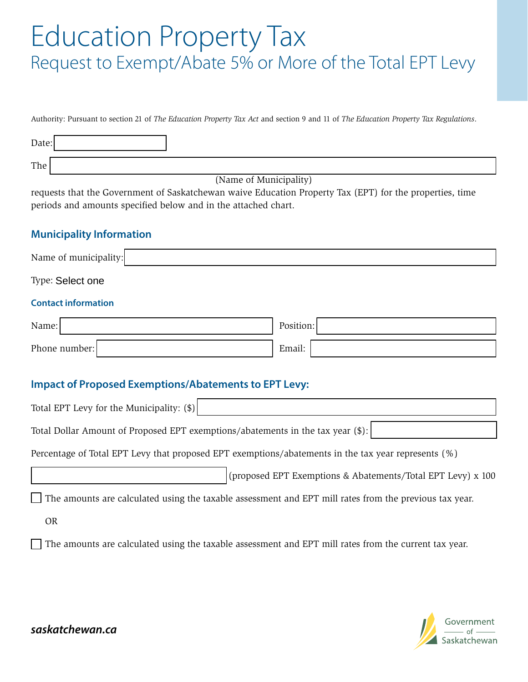## Education Property Tax Request to Exempt/Abate 5% or More of the Total EPT Levy

Authority: Pursuant to section 21 of *The Education Property Tax Act* and section 9 and 11 of *The Education Property Tax Regulations*.

| Date: |                        |
|-------|------------------------|
| The   |                        |
|       | (Name of Municipality) |

requests that the Government of Saskatchewan waive Education Property Tax (EPT) for the properties, time periods and amounts specified below and in the attached chart.

## **Municipality Information**

| Name of municipality:                                                                                                        |                                                             |  |  |
|------------------------------------------------------------------------------------------------------------------------------|-------------------------------------------------------------|--|--|
| Type: Select one                                                                                                             |                                                             |  |  |
| <b>Contact information</b>                                                                                                   |                                                             |  |  |
| Name:                                                                                                                        | Position:                                                   |  |  |
| Phone number:                                                                                                                | Email:                                                      |  |  |
| <b>Impact of Proposed Exemptions/Abatements to EPT Levy:</b>                                                                 |                                                             |  |  |
| Total EPT Levy for the Municipality: (\$)<br>Total Dollar Amount of Proposed EPT exemptions/abatements in the tax year (\$): |                                                             |  |  |
| Percentage of Total EPT Levy that proposed EPT exemptions/abatements in the tax year represents (%)                          |                                                             |  |  |
|                                                                                                                              | (proposed EPT Exemptions & Abatements/Total EPT Levy) x 100 |  |  |
| The amounts are calculated using the taxable assessment and EPT mill rates from the previous tax year.                       |                                                             |  |  |
| <b>OR</b>                                                                                                                    |                                                             |  |  |

The amounts are calculated using the taxable assessment and EPT mill rates from the current tax year.

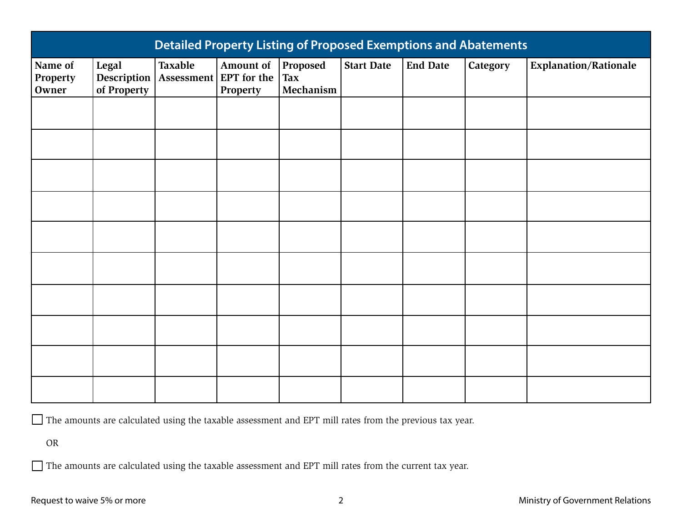| <b>Detailed Property Listing of Proposed Exemptions and Abatements</b> |                                     |                |                                                     |                                     |                   |                 |                          |                              |
|------------------------------------------------------------------------|-------------------------------------|----------------|-----------------------------------------------------|-------------------------------------|-------------------|-----------------|--------------------------|------------------------------|
| Name of<br>Property<br>Owner                                           | Legal<br>Description<br>of Property | <b>Taxable</b> | Amount of  <br>Assessment   EPT for the<br>Property | Proposed<br><b>Tax</b><br>Mechanism | <b>Start Date</b> | <b>End Date</b> | <b>Category</b>          | <b>Explanation/Rationale</b> |
|                                                                        |                                     |                |                                                     |                                     |                   |                 |                          |                              |
|                                                                        |                                     |                |                                                     |                                     |                   |                 |                          |                              |
|                                                                        |                                     |                |                                                     |                                     |                   |                 |                          |                              |
|                                                                        |                                     |                |                                                     |                                     |                   |                 |                          |                              |
|                                                                        |                                     |                |                                                     |                                     |                   |                 |                          |                              |
|                                                                        |                                     |                |                                                     |                                     |                   |                 |                          |                              |
|                                                                        |                                     |                |                                                     |                                     |                   |                 |                          |                              |
|                                                                        |                                     |                |                                                     |                                     |                   |                 |                          |                              |
|                                                                        |                                     |                |                                                     |                                     |                   |                 |                          |                              |
|                                                                        |                                     |                |                                                     |                                     |                   |                 | $\overline{\phantom{a}}$ |                              |

The amounts are calculated using the taxable assessment and EPT mill rates from the previous tax year.

OR

The amounts are calculated using the taxable assessment and EPT mill rates from the current tax year.